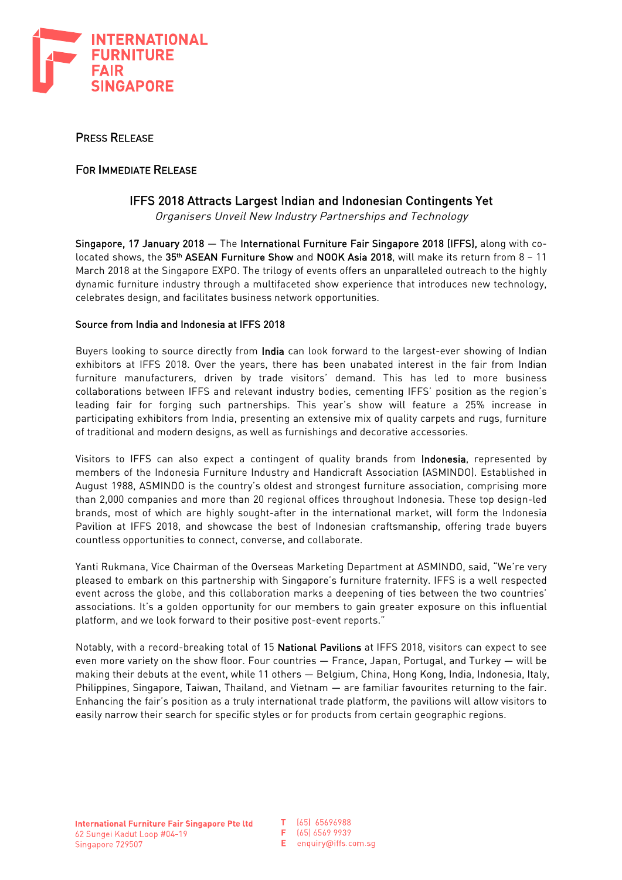

# PRESS RELEASE

## FOR IMMEDIATE RELEASE

## IFFS 2018 Attracts Largest Indian and Indonesian Contingents Yet

Organisers Unveil New Industry Partnerships and Technology

Singapore, 17 January 2018 — The International Furniture Fair Singapore 2018 (IFFS), along with colocated shows, the 35<sup>th</sup> ASEAN Furniture Show and NOOK Asia 2018, will make its return from 8 - 11 March 2018 at the Singapore EXPO. The trilogy of events offers an unparalleled outreach to the highly dynamic furniture industry through a multifaceted show experience that introduces new technology, celebrates design, and facilitates business network opportunities.

### Source from India and Indonesia at IFFS 2018

Buyers looking to source directly from India can look forward to the largest-ever showing of Indian exhibitors at IFFS 2018. Over the years, there has been unabated interest in the fair from Indian furniture manufacturers, driven by trade visitors' demand. This has led to more business collaborations between IFFS and relevant industry bodies, cementing IFFS' position as the region's leading fair for forging such partnerships. This year's show will feature a 25% increase in participating exhibitors from India, presenting an extensive mix of quality carpets and rugs, furniture of traditional and modern designs, as well as furnishings and decorative accessories.

Visitors to IFFS can also expect a contingent of quality brands from Indonesia, represented by members of the Indonesia Furniture Industry and Handicraft Association (ASMINDO). Established in August 1988, ASMINDO is the country's oldest and strongest furniture association, comprising more than 2,000 companies and more than 20 regional offices throughout Indonesia. These top design-led brands, most of which are highly sought-after in the international market, will form the Indonesia Pavilion at IFFS 2018, and showcase the best of Indonesian craftsmanship, offering trade buyers countless opportunities to connect, converse, and collaborate.

Yanti Rukmana, Vice Chairman of the Overseas Marketing Department at ASMINDO, said, "We're very pleased to embark on this partnership with Singapore's furniture fraternity. IFFS is a well respected event across the globe, and this collaboration marks a deepening of ties between the two countries' associations. It's a golden opportunity for our members to gain greater exposure on this influential platform, and we look forward to their positive post-event reports."

Notably, with a record-breaking total of 15 National Pavilions at IFFS 2018, visitors can expect to see even more variety on the show floor. Four countries — France, Japan, Portugal, and Turkey — will be making their debuts at the event, while 11 others — Belgium, China, Hong Kong, India, Indonesia, Italy, Philippines, Singapore, Taiwan, Thailand, and Vietnam — are familiar favourites returning to the fair. Enhancing the fair's position as a truly international trade platform, the pavilions will allow visitors to easily narrow their search for specific styles or for products from certain geographic regions.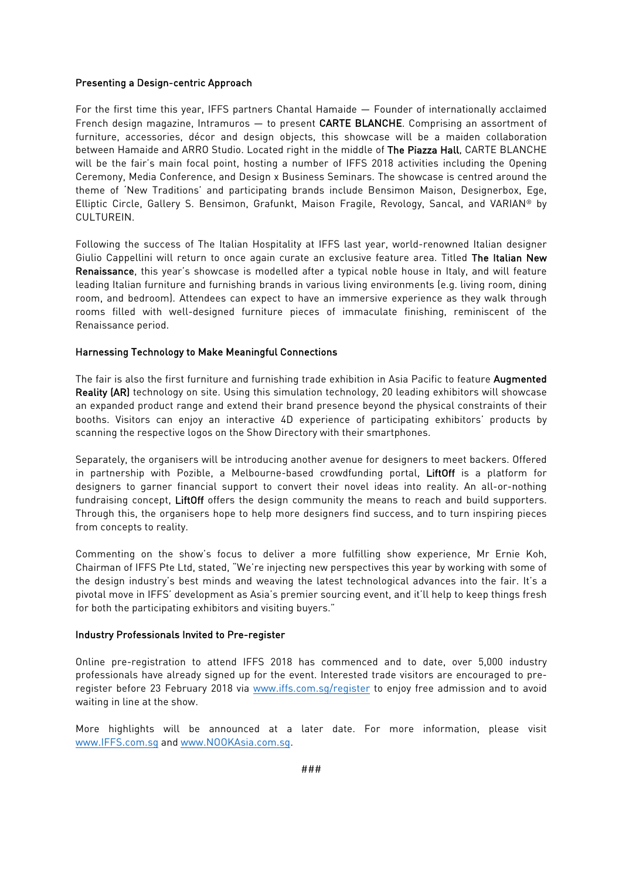#### Presenting a Design-centric Approach

For the first time this year, IFFS partners Chantal Hamaide — Founder of internationally acclaimed French design magazine, Intramuros — to present CARTE BLANCHE. Comprising an assortment of furniture, accessories, décor and design objects, this showcase will be a maiden collaboration between Hamaide and ARRO Studio. Located right in the middle of The Piazza Hall, CARTE BLANCHE will be the fair's main focal point, hosting a number of IFFS 2018 activities including the Opening Ceremony, Media Conference, and Design x Business Seminars. The showcase is centred around the theme of 'New Traditions' and participating brands include Bensimon Maison, Designerbox, Ege, Elliptic Circle, Gallery S. Bensimon, Grafunkt, Maison Fragile, Revology, Sancal, and VARIAN® by CULTUREIN.

Following the success of The Italian Hospitality at IFFS last year, world-renowned Italian designer Giulio Cappellini will return to once again curate an exclusive feature area. Titled The Italian New Renaissance, this year's showcase is modelled after a typical noble house in Italy, and will feature leading Italian furniture and furnishing brands in various living environments (e.g. living room, dining room, and bedroom). Attendees can expect to have an immersive experience as they walk through rooms filled with well-designed furniture pieces of immaculate finishing, reminiscent of the Renaissance period.

#### Harnessing Technology to Make Meaningful Connections

The fair is also the first furniture and furnishing trade exhibition in Asia Pacific to feature Augmented Reality (AR) technology on site. Using this simulation technology, 20 leading exhibitors will showcase an expanded product range and extend their brand presence beyond the physical constraints of their booths. Visitors can enjoy an interactive 4D experience of participating exhibitors' products by scanning the respective logos on the Show Directory with their smartphones.

Separately, the organisers will be introducing another avenue for designers to meet backers. Offered in partnership with Pozible, a Melbourne-based crowdfunding portal, LiftOff is a platform for designers to garner financial support to convert their novel ideas into reality. An all-or-nothing fundraising concept, LiftOff offers the design community the means to reach and build supporters. Through this, the organisers hope to help more designers find success, and to turn inspiring pieces from concepts to reality.

Commenting on the show's focus to deliver a more fulfilling show experience, Mr Ernie Koh, Chairman of IFFS Pte Ltd, stated, "We're injecting new perspectives this year by working with some of the design industry's best minds and weaving the latest technological advances into the fair. It's a pivotal move in IFFS' development as Asia's premier sourcing event, and it'll help to keep things fresh for both the participating exhibitors and visiting buyers."

#### Industry Professionals Invited to Pre-register

Online pre-registration to attend IFFS 2018 has commenced and to date, over 5,000 industry professionals have already signed up for the event. Interested trade visitors are encouraged to preregister before 23 February 2018 via www.iffs.com.sg/register to enjoy free admission and to avoid waiting in line at the show.

More highlights will be announced at a later date. For more information, please visit www.IFFS.com.sg and www.NOOKAsia.com.sg.